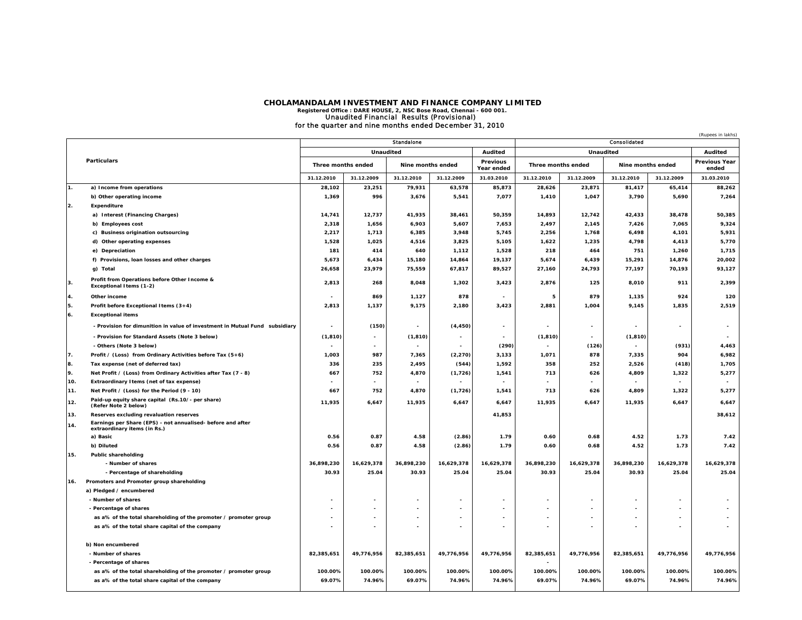## CHOLAMANDALAM INVESTMENT AND FINANCE COMPANY LIMITED<br>Registered Office : DARE HOUSE, 2, NSC Bose Road, Chennai - 600 001.<br>**Unaudited Financial Results (Provisional)** for the quarter and nine months ended December 31, 2010

|                    |                                                                                             |                    |                          |                   |            |                        |                    |                          |                          |            | (Rupees in lakhs)             |
|--------------------|---------------------------------------------------------------------------------------------|--------------------|--------------------------|-------------------|------------|------------------------|--------------------|--------------------------|--------------------------|------------|-------------------------------|
| <b>Particulars</b> |                                                                                             | <b>Standalone</b>  |                          |                   |            | Consolidated           |                    |                          |                          |            |                               |
|                    |                                                                                             | Unaudited          |                          |                   | Audited    | <b>Unaudited</b>       |                    |                          | <b>Audited</b>           |            |                               |
|                    |                                                                                             | Three months ended |                          | Nine months ended |            | Previous<br>Year ended | Three months ended |                          | Nine months ended        |            | <b>Previous Year</b><br>ended |
|                    |                                                                                             | 31.12.2010         | 31.12.2009               | 31.12.2010        | 31.12.2009 | 31.03.2010             | 31.12.2010         | 31.12.2009               | 31.12.2010               | 31.12.2009 | 31.03.2010                    |
| 1.                 | a) Income from operations                                                                   | 28,102             | 23,251                   | 79,931            | 63,578     | 85,873                 | 28,626             | 23,871                   | 81,417                   | 65,414     | 88,262                        |
|                    | b) Other operating income                                                                   | 1,369              | 996                      | 3,676             | 5,541      | 7,077                  | 1,410              | 1,047                    | 3,790                    | 5,690      | 7,264                         |
| 2.                 | Expenditure                                                                                 |                    |                          |                   |            |                        |                    |                          |                          |            |                               |
|                    | a) Interest (Financing Charges)                                                             | 14,741             | 12,737                   | 41,935            | 38,461     | 50,359                 | 14,893             | 12,742                   | 42,433                   | 38,478     | 50,385                        |
|                    | b) Employees cost                                                                           | 2,318              | 1,656                    | 6,903             | 5,607      | 7,653                  | 2,497              | 2,145                    | 7,426                    | 7,065      | 9,324                         |
|                    | c) Business origination outsourcing                                                         | 2,217              | 1,713                    | 6,385             | 3,948      | 5,745                  | 2,256              | 1,768                    | 6,498                    | 4,101      | 5,931                         |
|                    | d) Other operating expenses                                                                 | 1,528              | 1,025                    | 4,516             | 3,825      | 5,105                  | 1,622              | 1,235                    | 4.798                    | 4,413      | 5,770                         |
|                    | e) Depreciation                                                                             | 181                | 414                      | 640               | 1,112      | 1,528                  | 218                | 464                      | 751                      | 1,260      | 1,715                         |
|                    | f) Provisions, Ioan losses and other charges                                                | 5,673              | 6,434                    | 15,180            | 14,864     | 19,137                 | 5,674              | 6,439                    | 15,291                   | 14,876     | 20,002                        |
|                    | g) Total                                                                                    | 26,658             | 23,979                   | 75,559            | 67,817     | 89,527                 | 27,160             | 24,793                   | 77,197                   | 70,193     | 93,127                        |
| 3.                 | Profit from Operations before Other Income &<br>Exceptional Items (1-2)                     | 2,813              | 268                      | 8,048             | 1,302      | 3,423                  | 2,876              | 125                      | 8,010                    | 911        | 2,399                         |
| 4.                 | Other income                                                                                |                    | 869                      | 1,127             | 878        |                        | 5                  | 879                      | 1,135                    | 924        | 120                           |
| 5.                 | Profit before Exceptional Items (3+4)                                                       | 2,813              | 1,137                    | 9,175             | 2,180      | 3,423                  | 2,881              | 1,004                    | 9,145                    | 1,835      | 2,519                         |
| 6.                 | <b>Exceptional items</b>                                                                    |                    |                          |                   |            |                        |                    |                          |                          |            |                               |
|                    | - Provision for dimunition in value of investment in Mutual Fund subsidiary                 |                    | (150)                    |                   | (4, 450)   |                        |                    | $\overline{\phantom{a}}$ | $\overline{\phantom{a}}$ |            |                               |
|                    | - Provision for Standard Assets (Note 3 below)                                              | (1, 810)           | $\overline{\phantom{a}}$ | (1, 810)          |            |                        | (1, 810)           | $\sim$                   | (1, 810)                 |            |                               |
|                    | - Others (Note 3 below)                                                                     |                    |                          |                   |            | (290)                  |                    | (126)                    | $\overline{\phantom{a}}$ | (931)      | 4,463                         |
| 7.                 | Profit / (Loss) from Ordinary Activities before Tax (5+6)                                   | 1,003              | 987                      | 7,365             | (2, 270)   | 3,133                  | 1,071              | 878                      | 7,335                    | 904        | 6,982                         |
| 8.                 | Tax expense (net of deferred tax)                                                           | 336                | 235                      | 2,495             | (544)      | 1,592                  | 358                | 252                      | 2,526                    | (418)      | 1,705                         |
| 9.                 | Net Profit / (Loss) from Ordinary Activities after Tax (7 - 8)                              | 667                | 752                      | 4,870             | (1, 726)   | 1,541                  | 713                | 626                      | 4,809                    | 1,322      | 5,277                         |
| 10.                | Extraordinary Items (net of tax expense)                                                    |                    |                          |                   | $\sim$     |                        |                    |                          |                          |            | $\sim$                        |
| 11.                | Net Profit / (Loss) for the Period (9 - 10)                                                 | 667                | 752                      | 4,870             | (1, 726)   | 1,541                  | 713                | 626                      | 4,809                    | 1,322      | 5,277                         |
| 12.                | Paid-up equity share capital (Rs.10/- per share)<br>(Refer Note 2 below)                    | 11,935             | 6,647                    | 11,935            | 6,647      | 6,647                  | 11,935             | 6,647                    | 11,935                   | 6,647      | 6,647                         |
| 13.                | Reserves excluding revaluation reserves                                                     |                    |                          |                   |            | 41,853                 |                    |                          |                          |            | 38,612                        |
| 14.                | Earnings per Share (EPS) - not annualised- before and after<br>extraordinary items (in Rs.) |                    |                          |                   |            |                        |                    |                          |                          |            |                               |
|                    | a) Basic                                                                                    | 0.56               | 0.87                     | 4.58              | (2.86)     | 1.79                   | 0.60               | 0.68                     | 4.52                     | 1.73       | 7.42                          |
|                    | b) Diluted                                                                                  | 0.56               | 0.87                     | 4.58              | (2.86)     | 1.79                   | 0.60               | 0.68                     | 4.52                     | 1.73       | 7.42                          |
| 15.                | Public shareholding                                                                         |                    |                          |                   |            |                        |                    |                          |                          |            |                               |
|                    | - Number of shares                                                                          | 36,898,230         | 16,629,378               | 36,898,230        | 16,629,378 | 16,629,378             | 36,898,230         | 16,629,378               | 36,898,230               | 16,629,378 | 16,629,378                    |
|                    | - Percentage of shareholding                                                                | 30.93              | 25.04                    | 30.93             | 25.04      | 25.04                  | 30.93              | 25.04                    | 30.93                    | 25.04      | 25.04                         |
| 16.                | Promoters and Promoter group shareholding<br>a) Pledged / encumbered                        |                    |                          |                   |            |                        |                    |                          |                          |            |                               |
|                    | - Number of shares                                                                          |                    |                          |                   |            |                        |                    |                          |                          |            |                               |
|                    | - Percentage of shares                                                                      |                    | ٠                        |                   | ÷          |                        |                    |                          |                          |            |                               |
|                    | as a% of the total shareholding of the promoter / promoter group                            |                    |                          |                   |            |                        |                    |                          |                          |            |                               |
|                    | as a% of the total share capital of the company                                             |                    |                          |                   |            |                        |                    |                          |                          |            |                               |
|                    | b) Non encumbered                                                                           |                    |                          |                   |            |                        |                    |                          |                          |            |                               |
|                    | - Number of shares                                                                          | 82,385,651         | 49,776,956               | 82,385,651        | 49,776,956 | 49,776,956             | 82,385,651         | 49,776,956               | 82,385,651               | 49,776,956 | 49,776,956                    |
|                    | - Percentage of shares                                                                      |                    |                          |                   |            |                        |                    |                          |                          |            |                               |
|                    | as a% of the total shareholding of the promoter / promoter group                            | 100.00%            | 100.00%                  | 100.00%           | 100.00%    | 100.00%                | 100.00%            | 100.00%                  | 100.00%                  | 100.00%    | 100.00%                       |
|                    | as a% of the total share capital of the company                                             | 69.07%             | 74.96%                   | 69.07%            | 74.96%     | 74.96%                 | 69.07%             | 74.96%                   | 69.07%                   | 74.96%     | 74.96%                        |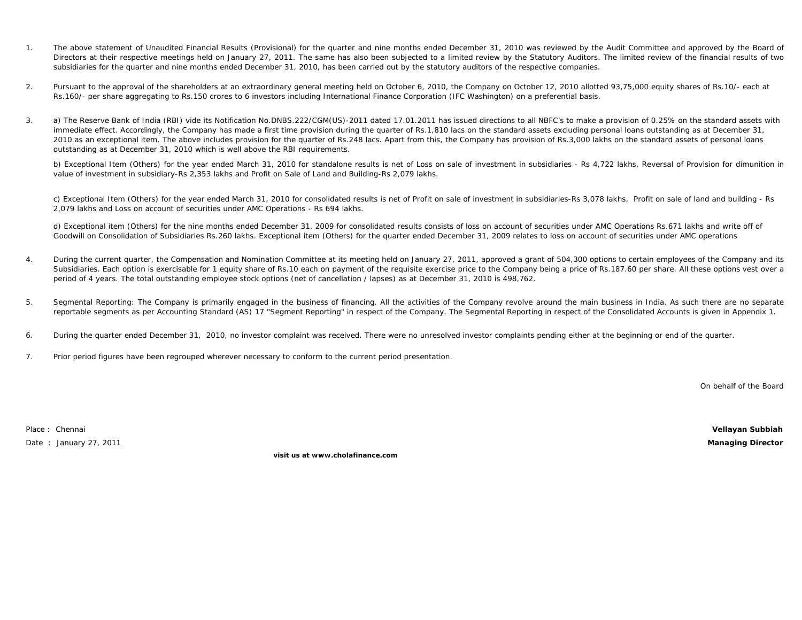- 1. The above statement of Unaudited Financial Results (Provisional) for the quarter and nine months ended December 31, 2010 was reviewed by the Audit Committee and approved by the Board of Directors at their respective meetings held on January 27, 2011. The same has also been subjected to a limited review by the Statutory Auditors. The limited review of the financial results of two subsidiaries for the quarter and nine months ended December 31, 2010, has been carried out by the statutory auditors of the respective companies.
- 2.Pursuant to the approval of the shareholders at an extraordinary general meeting held on October 6, 2010, the Company on October 12, 2010 allotted 93,75,000 equity shares of Rs.10/- each at Rs.160/- per share aggregating to Rs.150 crores to 6 investors including International Finance Corporation (IFC Washington) on a preferential basis.
- 3.a) The Reserve Bank of India (RBI) vide its Notification No.DNBS.222/CGM(US)-2011 dated 17.01.2011 has issued directions to all NBFC's to make a provision of 0.25% on the standard assets with immediate effect. Accordingly, the Company has made a first time provision during the quarter of Rs.1,810 lacs on the standard assets excluding personal loans outstanding as at December 31, 2010 as an exceptional item. The above includes provision for the quarter of Rs.248 lacs. Apart from this, the Company has provision of Rs.3,000 lakhs on the standard assets of personal loans outstanding as at December 31, 2010 which is well above the RBI requirements.

b) Exceptional Item (Others) for the year ended March 31, 2010 for standalone results is net of Loss on sale of investment in subsidiaries - Rs 4,722 lakhs, Reversal of Provision for dimunition in value of investment in subsidiary-Rs 2,353 lakhs and Profit on Sale of Land and Building-Rs 2,079 lakhs.

c) Exceptional Item (Others) for the year ended March 31, 2010 for consolidated results is net of Profit on sale of investment in subsidiaries-Rs 3,078 lakhs, Profit on sale of land and building - Rs 2,079 lakhs and Loss on account of securities under AMC Operations - Rs 694 lakhs.

d) Exceptional item (Others) for the nine months ended December 31, 2009 for consolidated results consists of loss on account of securities under AMC Operations Rs.671 lakhs and write off of Goodwill on Consolidation of Subsidiaries Rs.260 lakhs. Exceptional item (Others) for the quarter ended December 31, 2009 relates to loss on account of securities under AMC operations

- 4.During the current quarter, the Compensation and Nomination Committee at its meeting held on January 27, 2011, approved a grant of 504,300 options to certain employees of the Company and its Subsidiaries. Each option is exercisable for 1 equity share of Rs.10 each on payment of the requisite exercise price to the Company being a price of Rs.187.60 per share. All these options vest over a period of 4 years. The total outstanding employee stock options (net of cancellation / lapses) as at December 31, 2010 is 498,762.
- 5.Segmental Reporting: The Company is primarily engaged in the business of financing. All the activities of the Company revolve around the main business in India. As such there are no separate reportable segments as per Accounting Standard (AS) 17 "Segment Reporting" in respect of the Company. The Segmental Reporting in respect of the Consolidated Accounts is given in Appendix 1.
- 6. During the quarter ended December 31, 2010, no investor complaint was received. There were no unresolved investor complaints pending either at the beginning or end of the quarter.
- 7.Prior period figures have been regrouped wherever necessary to conform to the current period presentation.

On behalf of the Board

Place : Chennai

Date : January 27, 2011 **Managing Director**

**visit us at www.cholafinance.com**

**Vellayan Subbiah**